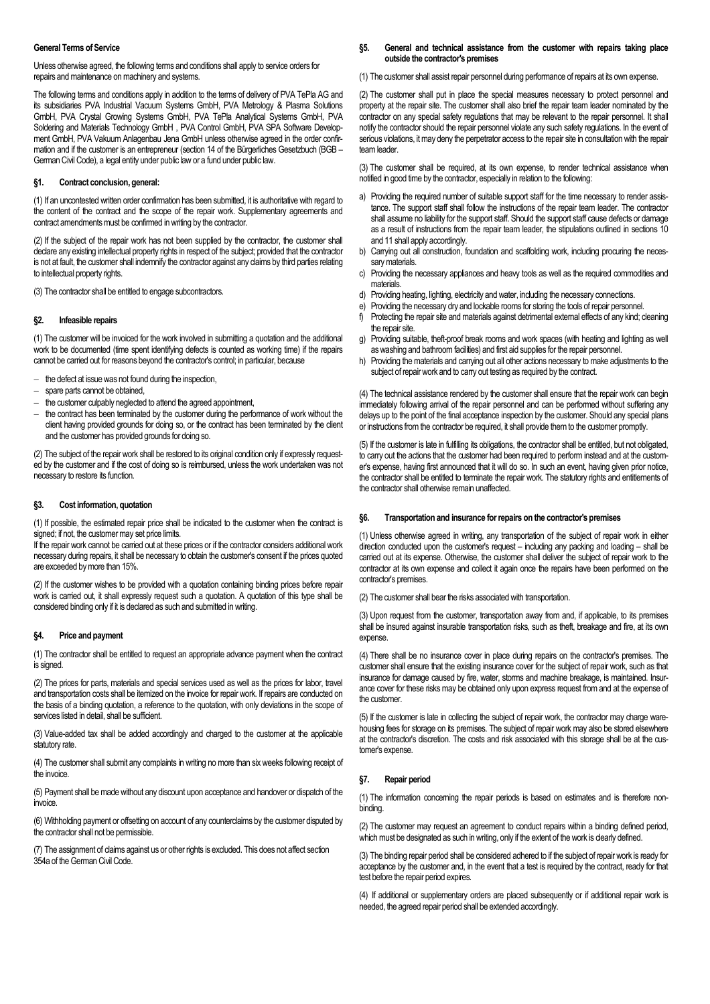## **General Terms of Service**

Unless otherwise agreed, the following terms and conditions shall apply to service orders for repairs and maintenance on machinery and systems.

The following terms and conditions apply in addition to the terms of delivery of PVA TePla AG and its subsidiaries PVA Industrial Vacuum Systems GmbH, PVA Metrology & Plasma Solutions GmbH, PVA Crystal Growing Systems GmbH, PVA TePla Analytical Systems GmbH, PVA Soldering and Materials Technology GmbH , PVA Control GmbH, PVA SPA Software Development GmbH, PVA Vakuum Anlagenbau Jena GmbH unless otherwise agreed in the order confirmation and if the customer is an entrepreneur (section 14 of the Bürgerliches Gesetzbuch (BGB – German Civil Code), a legal entity under public law or a fund under public law.

#### **§1. Contract conclusion, general:**

(1) If an uncontested written order confirmation has been submitted, it is authoritative with regard to the content of the contract and the scope of the repair work. Supplementary agreements and contract amendments must be confirmed in writing by the contractor.

(2) If the subject of the repair work has not been supplied by the contractor, the customer shall declare any existing intellectual property rights in respect of the subject; provided that the contractor is not at fault, the customer shall indemnify the contractor against any claims by third parties relating to intellectual property rights.

(3) The contractor shall be entitled to engage subcontractors.

### **§2. Infeasible repairs**

(1) The customer will be invoiced for the work involved in submitting a quotation and the additional work to be documented (time spent identifying defects is counted as working time) if the repairs cannot be carried out for reasons beyond the contractor's control; in particular, because

- $-$  the defect at issue was not found during the inspection,
- spare parts cannot be obtained,
- the customer culpably neglected to attend the agreed appointment,
- the contract has been terminated by the customer during the performance of work without the client having provided grounds for doing so, or the contract has been terminated by the client and the customer has provided grounds for doing so.

(2) The subject of the repair work shall be restored to its original condition only if expressly requested by the customer and if the cost of doing so is reimbursed, unless the work undertaken was not necessary to restore its function.

### **§3. Cost information, quotation**

(1) If possible, the estimated repair price shall be indicated to the customer when the contract is signed; if not, the customer may set price limits.

If the repair work cannot be carried out at these prices or if the contractor considers additional work necessary during repairs, it shall be necessary to obtain the customer's consent if the prices quoted are exceeded by more than 15%.

(2) If the customer wishes to be provided with a quotation containing binding prices before repair work is carried out, it shall expressly request such a quotation. A quotation of this type shall be considered binding only if it is declared as such and submitted in writing.

### **§4. Price and payment**

(1) The contractor shall be entitled to request an appropriate advance payment when the contract is signed.

(2) The prices for parts, materials and special services used as well as the prices for labor, travel and transportation costs shall be itemized on the invoice for repair work. If repairs are conducted on the basis of a binding quotation, a reference to the quotation, with only deviations in the scope of services listed in detail, shall be sufficient.

(3) Value-added tax shall be added accordingly and charged to the customer at the applicable statutory rate.

(4) The customer shall submit any complaints in writing no more than six weeks following receipt of the invoice.

(5) Payment shall be made without any discount upon acceptance and handover or dispatch of the invoice.

(6) Withholding payment or offsetting on account of any counterclaims by the customer disputed by the contractor shall not be permissible.

(7) The assignment of claims against us or other rights is excluded. This does not affect section 354a of the German Civil Code.

### **§5. General and technical assistance from the customer with repairs taking place outside the contractor's premises**

(1) The customer shall assist repair personnel during performance of repairs at its own expense.

(2) The customer shall put in place the special measures necessary to protect personnel and property at the repair site. The customer shall also brief the repair team leader nominated by the contractor on any special safety regulations that may be relevant to the repair personnel. It shall notify the contractor should the repair personnel violate any such safety regulations. In the event of serious violations, it may deny the perpetrator access to the repair site in consultation with the repair team leader.

(3) The customer shall be required, at its own expense, to render technical assistance when notified in good time by the contractor, especially in relation to the following:

- a) Providing the required number of suitable support staff for the time necessary to render assistance. The support staff shall follow the instructions of the repair team leader. The contractor shall assume no liability for the support staff. Should the support staff cause defects or damage as a result of instructions from the repair team leader, the stipulations outlined in sections 10 and 11 shall apply accordingly.
- b) Carrying out all construction, foundation and scaffolding work, including procuring the necessary materials.
- c) Providing the necessary appliances and heavy tools as well as the required commodities and materials.
- d) Providing heating, lighting, electricity and water, including the necessary connections.
- e) Providing the necessary dry and lockable rooms for storing the tools of repair personnel.
- f) Protecting the repair site and materials against detrimental external effects of any kind; cleaning the repair site.
- g) Providing suitable, theft-proof break rooms and work spaces (with heating and lighting as well as washing and bathroom facilities) and first aid supplies for the repair personnel.
- h) Providing the materials and carrying out all other actions necessary to make adjustments to the subject of repair work and to carry out testing as required by the contract.

(4) The technical assistance rendered by the customer shall ensure that the repair work can begin immediately following arrival of the repair personnel and can be performed without suffering any delays up to the point of the final acceptance inspection by the customer. Should any special plans or instructions from the contractor be required, it shall provide them to the customer promptly.

(5) If the customer is late in fulfilling its obligations, the contractor shall be entitled, but not obligated, to carry out the actions that the customer had been required to perform instead and at the customer's expense, having first announced that it will do so. In such an event, having given prior notice, the contractor shall be entitled to terminate the repair work. The statutory rights and entitlements of the contractor shall otherwise remain unaffected.

#### **§6. Transportation and insurance for repairs on the contractor's premises**

(1) Unless otherwise agreed in writing, any transportation of the subject of repair work in either direction conducted upon the customer's request – including any packing and loading – shall be carried out at its expense. Otherwise, the customer shall deliver the subject of repair work to the contractor at its own expense and collect it again once the repairs have been performed on the contractor's premises.

(2) The customer shall bear the risks associated with transportation.

(3) Upon request from the customer, transportation away from and, if applicable, to its premises shall be insured against insurable transportation risks, such as theft, breakage and fire, at its own expense.

(4) There shall be no insurance cover in place during repairs on the contractor's premises. The customer shall ensure that the existing insurance cover for the subject of repair work, such as that insurance for damage caused by fire, water, storms and machine breakage, is maintained. Insurance cover for these risks may be obtained only upon express request from and at the expense of the customer.

(5) If the customer is late in collecting the subject of repair work, the contractor may charge warehousing fees for storage on its premises. The subject of repair work may also be stored elsewhere at the contractor's discretion. The costs and risk associated with this storage shall be at the customer's expense.

### **§7. Repair period**

(1) The information concerning the repair periods is based on estimates and is therefore nonbinding.

(2) The customer may request an agreement to conduct repairs within a binding defined period, which must be designated as such in writing, only if the extent of the work is clearly defined.

(3) The binding repair period shall be considered adhered to if the subject of repair work is ready for acceptance by the customer and, in the event that a test is required by the contract, ready for that test before the repair period expires.

(4) If additional or supplementary orders are placed subsequently or if additional repair work is needed, the agreed repair period shall be extended accordingly.